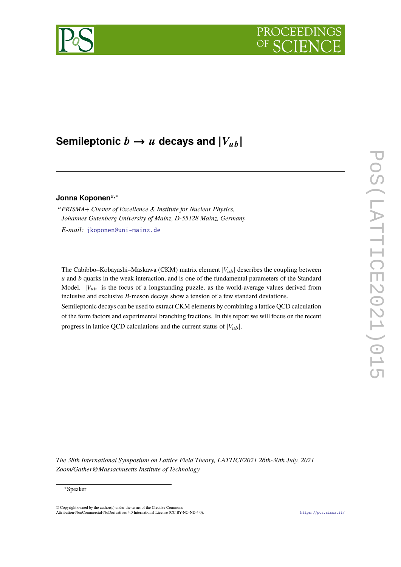# PROCEEDIN



# **Semileptonic**  $b \rightarrow u$  decays and  $|V_{ub}|$

# Jonna Koponen<sup>a,∗</sup>

<sup>𝑎</sup>*PRISMA+ Cluster of Excellence & Institute for Nuclear Physics, Johannes Gutenberg University of Mainz, D-55128 Mainz, Germany*

*E-mail:* [jkoponen@uni-mainz.de](mailto:jkoponen@uni-mainz.de)

The Cabibbo–Kobayashi–Maskawa (CKM) matrix element  $|V_{ub}|$  describes the coupling between  $u$  and  $b$  quarks in the weak interaction, and is one of the fundamental parameters of the Standard Model.  $|V_{ub}|$  is the focus of a longstanding puzzle, as the world-average values derived from inclusive and exclusive  $B$ -meson decays show a tension of a few standard deviations.

Semileptonic decays can be used to extract CKM elements by combining a lattice QCD calculation of the form factors and experimental branching fractions. In this report we will focus on the recent progress in lattice QCD calculations and the current status of  $|V_{ub}|$ .

*The 38th International Symposium on Lattice Field Theory, LATTICE2021 26th-30th July, 2021 Zoom/Gather@Massachusetts Institute of Technology*

<sup>∗</sup>Speaker

<sup>©</sup> Copyright owned by the author(s) under the terms of the Creative Common Attribution-NonCommercial-NoDerivatives 4.0 International License (CC BY-NC-ND 4.0). <https://pos.sissa.it/>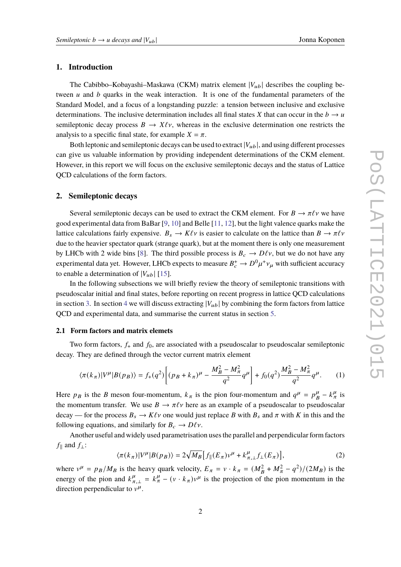#### **1. Introduction**

The Cabibbo–Kobayashi–Maskawa (CKM) matrix element  $|V_{ub}|$  describes the coupling between  $u$  and  $b$  quarks in the weak interaction. It is one of the fundamental parameters of the Standard Model, and a focus of a longstanding puzzle: a tension between inclusive and exclusive determinations. The inclusive determination includes all final states X that can occur in the  $b \rightarrow u$ semileptonic decay process  $B \to X \ell \nu$ , whereas in the exclusive determination one restricts the analysis to a specific final state, for example  $X = \pi$ .

Both leptonic and semileptonic decays can be used to extract  $|V_{\mu b}|$ , and using different processes can give us valuable information by providing independent determinations of the CKM element. However, in this report we will focus on the exclusive semileptonic decays and the status of Lattice QCD calculations of the form factors.

#### **2. Semileptonic decays**

Several semileptonic decays can be used to extract the CKM element. For  $B \to \pi \ell \nu$  we have good experimental data from BaBar [\[9,](#page-9-0) [10\]](#page-9-1) and Belle [\[11,](#page-9-2) [12\]](#page-9-3), but the light valence quarks make the lattice calculations fairly expensive.  $B_s \to K\ell\nu$  is easier to calculate on the lattice than  $B \to \pi\ell\nu$ due to the heavier spectator quark (strange quark), but at the moment there is only one measurement by LHCb with 2 wide bins [\[8\]](#page-9-4). The third possible process is  $B_c \to D\ell v$ , but we do not have any experimental data yet. However, LHCb expects to measure  $B_c^+ \to D^0 \mu^+ \nu_\mu$  with sufficient accuracy to enable a determination of  $|V_{ub}|$  [\[15\]](#page-9-5).

In the following subsections we will briefly review the theory of semileptonic transitions with pseudoscalar initial and final states, before reporting on recent progress in lattice QCD calculations in section [3.](#page-3-0) In section [4](#page-5-0) we will discuss extracting  $|V_{ub}|$  by combining the form factors from lattice QCD and experimental data, and summarise the current status in section [5.](#page-7-0)

#### **2.1 Form factors and matrix elemets**

Two form factors,  $f_{+}$  and  $f_{0}$ , are associated with a pseudoscalar to pseudoscalar semileptonic decay. They are defined through the vector current matrix element

$$
\langle \pi(k_{\pi})|V^{\mu}|B(p_{B})\rangle = f_{+}(q^{2})\left[ (p_{B}+k_{\pi})^{\mu} - \frac{M_{B}^{2}-M_{\pi}^{2}}{q^{2}}q^{\mu} \right] + f_{0}(q^{2})\frac{M_{B}^{2}-M_{\pi}^{2}}{q^{2}}q^{\mu}.
$$
 (1)

Here  $p_B$  is the B meson four-momentum,  $k_{\pi}$  is the pion four-momentum and  $q^{\mu} = p_{\mu}^{\mu}$  $\frac{\mu}{B} - k^{\mu}_{\pi}$  is the momentum transfer. We use  $B \to \pi \ell \nu$  here as an example of a pseudoscalar to pseudoscalar decay — for the process  $B_s \to K\ell\nu$  one would just replace B with  $B_s$  and  $\pi$  with K in this and the following equations, and similarly for  $B_c \to D\ell \nu$ .

Another useful and widely used parametrisation uses the parallel and perpendicular form factors  $f_{\parallel}$  and  $f_{\perp}$ :

$$
\langle \pi(k_{\pi})|V^{\mu}|B(p_{B})\rangle = 2\sqrt{M_{B}}\Big[f_{\parallel}(E_{\pi})v^{\mu} + k^{\mu}_{\pi,\perp}f_{\perp}(E_{\pi})\Big],\tag{2}
$$

where  $v^{\mu} = p_B/M_B$  is the heavy quark velocity,  $E_{\pi} = v \cdot k_{\pi} = (M_B^2 + M_{\pi}^2 - q^2)/(2M_B)$  is the energy of the pion and  $k_{\pi,\perp}^{\mu} = k_{\pi}^{\mu} - (v \cdot k_{\pi})v^{\mu}$  is the projection of the pion momentum in the direction perpendicular to  $v^{\mu}$ .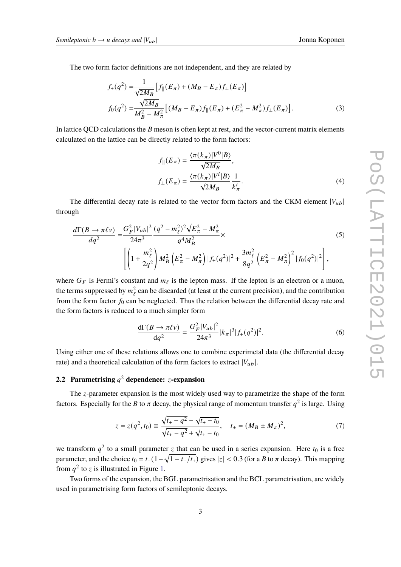The two form factor definitions are not independent, and they are related by

$$
f_{+}(q^{2}) = \frac{1}{\sqrt{2M_{B}}} [f_{\parallel}(E_{\pi}) + (M_{B} - E_{\pi}) f_{\perp}(E_{\pi})]
$$
  

$$
f_{0}(q^{2}) = \frac{\sqrt{2M_{B}}}{M_{B}^{2} - M_{\pi}^{2}} [(M_{B} - E_{\pi}) f_{\parallel}(E_{\pi}) + (E_{\pi}^{2} - M_{\pi}^{2}) f_{\perp}(E_{\pi})].
$$
 (3)

In lattice QCD calculations the  $B$  meson is often kept at rest, and the vector-current matrix elements calculated on the lattice can be directly related to the form factors:

$$
f_{\parallel}(E_{\pi}) = \frac{\langle \pi(k_{\pi}) | V^{0} | B \rangle}{\sqrt{2M_{B}}},
$$

$$
f_{\perp}(E_{\pi}) = \frac{\langle \pi(k_{\pi}) | V^{i} | B \rangle}{\sqrt{2M_{B}}} \frac{1}{k_{\pi}^{i}}.
$$
(4)

The differential decay rate is related to the vector form factors and the CKM element  $|V_{ub}|$ through

$$
\frac{d\Gamma(B \to \pi\ell\nu)}{dq^2} = \frac{G_F^2 |V_{ub}|^2}{24\pi^3} \frac{(q^2 - m_\ell^2)^2 \sqrt{E_\pi^2 - M_\pi^2}}{q^4 M_B^2} \times \left[ \left( 1 + \frac{m_\ell^2}{2q^2} \right) M_B^2 \left( E_\pi^2 - M_\pi^2 \right) |f_+(q^2)|^2 + \frac{3m_\ell^2}{8q^2} \left( E_\pi^2 - M_\pi^2 \right)^2 |f_0(q^2)|^2 \right],
$$
\n(5)

where  $G_F$  is Fermi's constant and  $m_\ell$  is the lepton mass. If the lepton is an electron or a muon, the terms suppressed by  $m_{\ell}^2$  can be discarded (at least at the current precision), and the contribution from the form factor  $f_0$  can be neglected. Thus the relation between the differential decay rate and the form factors is reduced to a much simpler form

$$
\frac{d\Gamma(B \to \pi \ell \nu)}{dq^2} = \frac{G_F^2 |V_{ub}|^2}{24\pi^3} |k_\pi|^3 |f_+(q^2)|^2. \tag{6}
$$

Using either one of these relations allows one to combine experimetal data (the differential decay rate) and a theoretical calculation of the form factors to extract  $|V_{ub}|$ .

# **2.2 Parametrising**  $q^2$  dependence:  $z$ **-expansion**

The  $z$ -parameter expansion is the most widely used way to parametrize the shape of the form factors. Especially for the B to  $\pi$  decay, the physical range of momentum transfer  $q^2$  is large. Using

$$
z = z(q^2, t_0) \equiv \frac{\sqrt{t_+ - q^2} - \sqrt{t_+ - t_0}}{\sqrt{t_+ - q^2} + \sqrt{t_+ - t_0}}, \quad t_{\pm} = (M_B \pm M_\pi)^2,
$$
 (7)

we transform  $q^2$  to a small parameter z that can be used in a series expansion. Here  $t_0$  is a free parameter, and the choice  $t_0 = t_+(1-\sqrt{1-t_-/t_+})$  gives  $|z| < 0.3$  (for a B to  $\pi$  decay). This mapping from  $q^2$  to z is illustrated in Figure [1.](#page-3-1)

Two forms of the expansion, the BGL parametrisation and the BCL parametrisation, are widely used in parametrising form factors of semileptonic decays.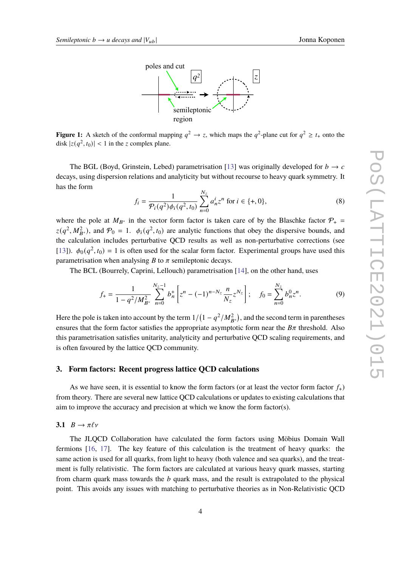

<span id="page-3-1"></span>**Figure 1:** A sketch of the conformal mapping  $q^2 \to z$ , which maps the  $q^2$ -plane cut for  $q^2 \ge t_+$  onto the disk  $|z(q^2, t_0)| < 1$  in the z complex plane.

The BGL (Boyd, Grinstein, Lebed) parametrisation [\[13\]](#page-9-6) was originally developed for  $b \to c$ decays, using dispersion relations and analyticity but without recourse to heavy quark symmetry. It has the form

$$
f_i = \frac{1}{\mathcal{P}_i(q^2)\phi_i(q^2, t_0)} \sum_{n=0}^{N_z} a_n^i z^n \text{ for } i \in \{+, 0\},\tag{8}
$$

where the pole at  $M_{B^*}$  in the vector form factor is taken care of by the Blaschke factor  $\mathcal{P}_+$  =  $z(q^2, M_{B^*}^2)$ , and  $\mathcal{P}_0 = 1$ .  $\phi_i(q^2, t_0)$  are analytic functions that obey the dispersive bounds, and the calculation includes perturbative QCD results as well as non-perturbative corrections (see [\[13\]](#page-9-6)).  $\phi_0(q^2, t_0) = 1$  is often used for the scalar form factor. Experimental groups have used this parametrisation when analysing  $B$  to  $\pi$  semileptonic decays.

The BCL (Bourrely, Caprini, Lellouch) parametrisation [\[14\]](#page-9-7), on the other hand, uses

<span id="page-3-2"></span>
$$
f_{+} = \frac{1}{1 - q^2/M_{B^*}^2} \sum_{n=0}^{N_z - 1} b_n^+ \left[ z^n - (-1)^{n - N_z} \frac{n}{N_z} z^{N_z} \right]; \quad f_0 = \sum_{n=0}^{N_z} b_n^0 z^n.
$$
 (9)

Here the pole is taken into account by the term  $1/(1-q^2/M_{B^*}^2)$ , and the second term in parentheses ensures that the form factor satisfies the appropriate asymptotic form near the  $B\pi$  threshold. Also this parametrisation satisfies unitarity, analyticity and perturbative QCD scaling requirements, and is often favoured by the lattice QCD community.

#### <span id="page-3-0"></span>**3. Form factors: Recent progress lattice QCD calculations**

As we have seen, it is essential to know the form factors (or at least the vector form factor  $f_{+}$ ) from theory. There are several new lattice QCD calculations or updates to existing calculations that aim to improve the accuracy and precision at which we know the form factor(s).

**3.1**  $B \to \pi \ell \nu$ 

The JLQCD Collaboration have calculated the form factors using Möbius Domain Wall fermions [\[16,](#page-9-8) [17\]](#page-9-9). The key feature of this calculation is the treatment of heavy quarks: the same action is used for all quarks, from light to heavy (both valence and sea quarks), and the treatment is fully relativistic. The form factors are calculated at various heavy quark masses, starting from charm quark mass towards the  *quark mass, and the result is extrapolated to the physical* point. This avoids any issues with matching to perturbative theories as in Non-Relativistic QCD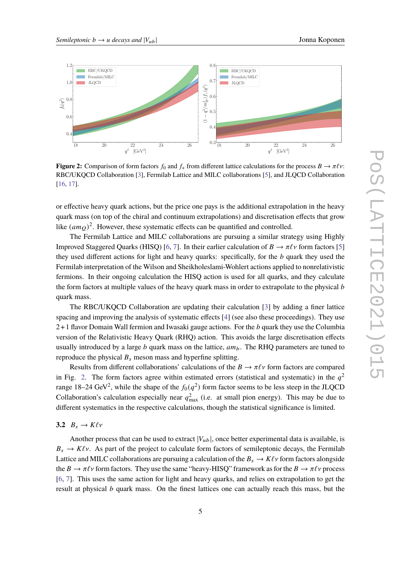<span id="page-4-0"></span>

**Figure 2:** Comparison of form factors  $f_0$  and  $f_+$  from different lattice calculations for the process  $B \to \pi \ell \nu$ : RBC/UKQCD Collaboration [\[3\]](#page-8-0), Fermilab Lattice and MILC collaborations [\[5\]](#page-8-1), and JLQCD Collaboration [\[16,](#page-9-8) [17\]](#page-9-9).

or effective heavy quark actions, but the price one pays is the additional extrapolation in the heavy quark mass (on top of the chiral and continuum extrapolations) and discretisation effects that grow like  $(am_Q)^2$ . However, these systematic effects can be quantified and controlled.

The Fermilab Lattice and MILC collaborations are pursuing a similar strategy using Highly Improved Staggered Quarks (HISQ) [\[6,](#page-9-10) [7\]](#page-9-11). In their earlier calculation of  $B \to \pi \ell \nu$  form factors [\[5\]](#page-8-1) they used different actions for light and heavy quarks: specifically, for the  $b$  quark they used the Fermilab interpretation of the Wilson and Sheikholeslami-Wohlert actions applied to nonrelativistic fermions. In their ongoing calculation the HISQ action is used for all quarks, and they calculate the form factors at multiple values of the heavy quark mass in order to extrapolate to the physical  $\bar{b}$ quark mass.

The RBC/UKQCD Collaboration are updating their calculation [\[3\]](#page-8-0) by adding a finer lattice spacing and improving the analysis of systematic effects [\[4\]](#page-8-2) (see also these proceedings). They use  $2+1$  flavor Domain Wall fermion and Iwasaki gauge actions. For the  $b$  quark they use the Columbia version of the Relativistic Heavy Quark (RHQ) action. This avoids the large discretisation effects usually introduced by a large  $b$  quark mass on the lattice,  $am_b$ . The RHQ parameters are tuned to reproduce the physical  $B_s$  meson mass and hyperfine splitting.

Results from different collaborations' calculations of the  $B \to \pi \ell \nu$  form factors are compared in Fig. [2.](#page-4-0) The form factors agree within estimated errors (statistical and systematic) in the  $q^2$ range 18–24 GeV<sup>2</sup>, while the shape of the  $f_0(q^2)$  form factor seems to be less steep in the JLQCD Collaboration's calculation especially near  $q_{\text{max}}^2$  (i.e. at small pion energy). This may be due to different systematics in the respective calculations, though the statistical significance is limited.

# 3.2  $B_s \to K \ell \nu$

Another process that can be used to extract  $|V_{ub}|$ , once better experimental data is available, is  $B_s \to K\ell\nu$ . As part of the project to calculate form factors of semileptonic decays, the Fermilab Lattice and MILC collaborations are pursuing a calculation of the  $B_s \to K\ell\nu$  form factors alongside the  $B \to \pi \ell \nu$  form factors. They use the same "heavy-HISQ" framework as for the  $B \to \pi \ell \nu$  process [\[6,](#page-9-10) [7\]](#page-9-11). This uses the same action for light and heavy quarks, and relies on extrapolation to get the result at physical  *quark mass. On the finest lattices one can actually reach this mass, but the*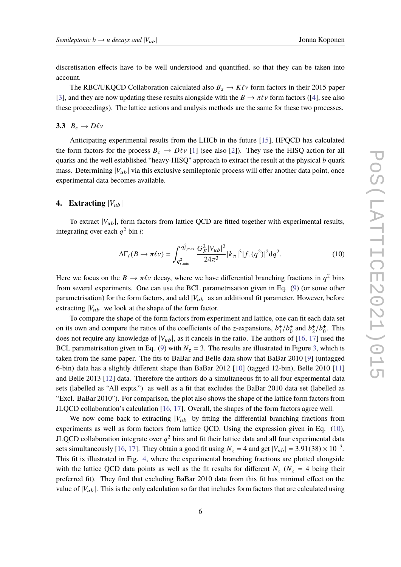discretisation effects have to be well understood and quantified, so that they can be taken into account.

The RBC/UKQCD Collaboration calculated also  $B_s \to K\ell\nu$  form factors in their 2015 paper [\[3\]](#page-8-0), and they are now updating these results alongside with the  $B \to \pi \ell \nu$  form factors ([\[4\]](#page-8-2), see also these proceedings). The lattice actions and analysis methods are the same for these two processes.

# **3.3**  $B_c \rightarrow D\ell\nu$

Anticipating experimental results from the LHCb in the future [\[15\]](#page-9-5), HPQCD has calculated the form factors for the process  $B_c \to D\ell v$  [\[1\]](#page-8-3) (see also [\[2\]](#page-8-4)). They use the HISQ action for all quarks and the well established "heavy-HISQ" approach to extract the result at the physical  $b$  quark mass. Determining  $|V_{ub}|$  via this exclusive semileptonic process will offer another data point, once experimental data becomes available.

#### <span id="page-5-0"></span>**4.** Extracting  $|V_{ub}|$

To extract  $|V_{ub}|$ , form factors from lattice QCD are fitted together with experimental results, integrating over each  $q^2$  bin *i*:

<span id="page-5-1"></span>
$$
\Delta\Gamma_i(B \to \pi\ell\nu) = \int_{q_{i,\text{min}}^2}^{q_{i,\text{max}}^2} \frac{G_F^2 |V_{ub}|^2}{24\pi^3} |k_\pi|^3 |f_+(q^2)|^2 dq^2.
$$
 (10)

Here we focus on the  $B \to \pi \ell \nu$  decay, where we have differential branching fractions in  $q^2$  bins from several experiments. One can use the BCL parametrisation given in Eq. [\(9\)](#page-3-2) (or some other parametrisation) for the form factors, and add  $|V_{ub}|$  as an additional fit parameter. However, before extracting  $|V_{ub}|$  we look at the shape of the form factor.

To compare the shape of the form factors from experiment and lattice, one can fit each data set on its own and compare the ratios of the coefficients of the *z*-expansions,  $b_1^+$  $_{1}^{+}/b_{0}^{+}$  $b_0^+$  and  $b_2^+$  $^{+}_{2}/b^{+}_{0}$  $_{0}^{+}$ . This does not require any knowledge of  $|V_{ub}|$ , as it cancels in the ratio. The authors of [\[16,](#page-9-8) [17\]](#page-9-9) used the BCL parametrisation given in Eq. [\(9\)](#page-3-2) with  $N_z = 3$ . The results are illustrated in Figure [3,](#page-6-0) which is taken from the same paper. The fits to BaBar and Belle data show that BaBar 2010 [\[9\]](#page-9-0) (untagged 6-bin) data has a slightly different shape than BaBar 2012 [\[10\]](#page-9-1) (tagged 12-bin), Belle 2010 [\[11\]](#page-9-2) and Belle 2013 [\[12\]](#page-9-3) data. Therefore the authors do a simultaneous fit to all four expermental data sets (labelled as "All expts.") as well as a fit that excludes the BaBar 2010 data set (labelled as "Excl. BaBar 2010"). For comparison, the plot also shows the shape of the lattice form factors from JLQCD collaboration's calculation [\[16,](#page-9-8) [17\]](#page-9-9). Overall, the shapes of the form factors agree well.

We now come back to extracting  $|V_{\mu\nu}|$  by fitting the differential branching fractions from experiments as well as form factors from lattice QCD. Using the expression given in Eq. [\(10\)](#page-5-1), JLQCD collaboration integrate over  $q^2$  bins and fit their lattice data and all four experimental data sets simultaneously [\[16,](#page-9-8) [17\]](#page-9-9). They obtain a good fit using  $N_z = 4$  and get  $|V_{ub}| = 3.91(38) \times 10^{-3}$ . This fit is illustrated in Fig. [4,](#page-7-1) where the experimental branching fractions are plotted alongside with the lattice QCD data points as well as the fit results for different  $N_z$  ( $N_z = 4$  being their preferred fit). They find that excluding BaBar 2010 data from this fit has minimal effect on the value of  $|V_{ub}|$ . This is the only calculation so far that includes form factors that are calculated using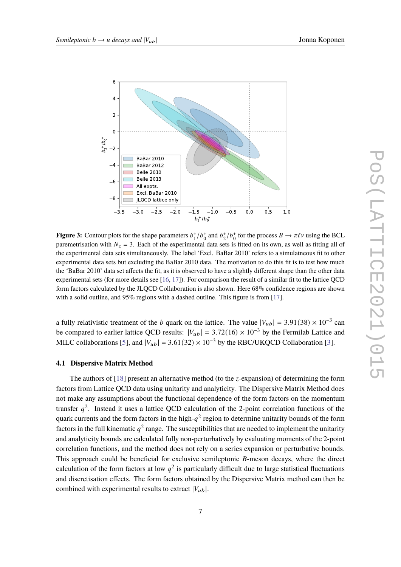<span id="page-6-0"></span>

**Figure 3:** Contour plots for the shape parameters  $b_1^+/b_0^+$  and  $b_2^+/b_0^+$  for the process  $B \to \pi \ell \nu$  using the BCL paremetrisation with  $N_z = 3$ . Each of the experimental data sets is fitted on its own, as well as fitting all of the experimental data sets simultaneously. The label 'Excl. BaBar 2010' refers to a simulatneous fit to other experimental data sets but excluding the BaBar 2010 data. The motivation to do this fit is to test how much the 'BaBar 2010' data set affects the fit, as it is observed to have a slightly different shape than the other data experimental sets (for more details see  $[16, 17]$  $[16, 17]$  $[16, 17]$ ). For comparison the result of a similar fit to the lattice QCD form factors calculated by the JLQCD Collaboration is also shown. Here 68% confidence regions are shown with a solid outline, and 95% regions with a dashed outline. This figure is from [\[17\]](#page-9-9).

a fully relativistic treatment of the b quark on the lattice. The value  $|V_{ub}| = 3.91(38) \times 10^{-3}$  can be compared to earlier lattice QCD results:  $|V_{ub}| = 3.72(16) \times 10^{-3}$  by the Fermilab Lattice and MILC collaborations [\[5\]](#page-8-1), and  $|V_{ub}| = 3.61(32) \times 10^{-3}$  by the RBC/UKQCD Collaboration [\[3\]](#page-8-0).

#### **4.1 Dispersive Matrix Method**

The authors of [\[18\]](#page-9-12) present an alternative method (to the  $z$ -expansion) of determining the form factors from Lattice QCD data using unitarity and analyticity. The Dispersive Matrix Method does not make any assumptions about the functional dependence of the form factors on the momentum transfer  $q^2$ . Instead it uses a lattice QCD calculation of the 2-point correlation functions of the quark currents and the form factors in the high- $q^2$  region to determine unitarity bounds of the form factors in the full kinematic  $q^2$  range. The susceptibilities that are needed to implement the unitarity and analyticity bounds are calculated fully non-perturbatively by evaluating moments of the 2-point correlation functions, and the method does not rely on a series expansion or perturbative bounds. This approach could be beneficial for exclusive semileptonic  $B$ -meson decays, where the direct calculation of the form factors at low  $q^2$  is particularly difficult due to large statistical fluctuations and discretisation effects. The form factors obtained by the Dispersive Matrix method can then be combined with experimental results to extract  $|V_{ub}|$ .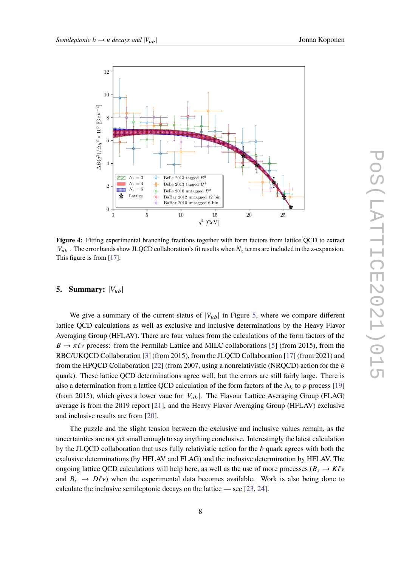<span id="page-7-1"></span>

**Figure 4:** Fitting experimental branching fractions together with form factors from lattice QCD to extract  $|V_{ub}|$ . The error bands show JLQCD collaboration's fit results when  $N_z$  terms are included in the z-expansion. This figure is from [\[17\]](#page-9-9).

### <span id="page-7-0"></span>**5. Summary:**  $|V_{ub}|$

We give a summary of the current status of  $|V_{ub}|$  in Figure [5,](#page-8-5) where we compare different lattice QCD calculations as well as exclusive and inclusive determinations by the Heavy Flavor Averaging Group (HFLAV). There are four values from the calculations of the form factors of the  $B \to \pi \ell \nu$  process: from the Fermilab Lattice and MILC collaborations [\[5\]](#page-8-1) (from 2015), from the RBC/UKQCD Collaboration [\[3\]](#page-8-0) (from 2015), from the JLQCD Collaboration [\[17\]](#page-9-9) (from 2021) and from the HPQCD Collaboration [\[22\]](#page-10-0) (from 2007, using a nonrelativistic (NRQCD) action for the  $b$ quark). These lattice QCD determinations agree well, but the errors are still fairly large. There is also a determination from a lattice QCD calculation of the form factors of the  $\Lambda_b$  to p process [\[19\]](#page-9-13) (from 2015), which gives a lower vaue for  $|V_{ub}|$ . The Flavour Lattice Averaging Group (FLAG) average is from the 2019 report [\[21\]](#page-9-14), and the Heavy Flavor Averaging Group (HFLAV) exclusive and inclusive results are from [\[20\]](#page-9-15).

The puzzle and the slight tension between the exclusive and inclusive values remain, as the uncertainties are not yet small enough to say anything conclusive. Interestingly the latest calculation by the JLQCD collaboration that uses fully relativistic action for the  $b$  quark agrees with both the exclusive determinations (by HFLAV and FLAG) and the inclusive determination by HFLAV. The ongoing lattice QCD calculations will help here, as well as the use of more processes ( $B_s \rightarrow K \ell \nu$ and  $B_c \rightarrow D\ell \nu$ ) when the experimental data becomes available. Work is also being done to calculate the inclusive semileptonic decays on the lattice — see [\[23,](#page-10-1) [24\]](#page-10-2).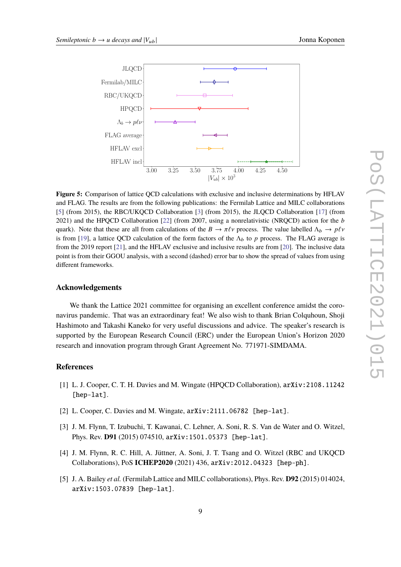<span id="page-8-5"></span>

**Figure 5:** Comparison of lattice QCD calculations with exclusive and inclusive determinations by HFLAV and FLAG. The results are from the following publications: the Fermilab Lattice and MILC collaborations [\[5\]](#page-8-1) (from 2015), the RBC/UKQCD Collaboration [\[3\]](#page-8-0) (from 2015), the JLQCD Collaboration [\[17\]](#page-9-9) (from 2021) and the HPQCD Collaboration  $[22]$  (from 2007, using a nonrelativistic (NRQCD) action for the b quark). Note that these are all from calculations of the  $B \to \pi \ell \nu$  process. The value labelled  $\Lambda_b \to \rho \ell \nu$ is from [\[19\]](#page-9-13), a lattice QCD calculation of the form factors of the  $\Lambda_h$  to p process. The FLAG average is from the 2019 report [\[21\]](#page-9-14), and the HFLAV exclusive and inclusive results are from [\[20\]](#page-9-15). The inclusive data point is from their GGOU analysis, with a second (dashed) error bar to show the spread of values from using different frameworks.

# **Acknowledgements**

We thank the Lattice 2021 committee for organising an excellent conference amidst the coronavirus pandemic. That was an extraordinary feat! We also wish to thank Brian Colquhoun, Shoji Hashimoto and Takashi Kaneko for very useful discussions and advice. The speaker's research is supported by the European Research Council (ERC) under the European Union's Horizon 2020 research and innovation program through Grant Agreement No. 771971-SIMDAMA.

### **References**

- <span id="page-8-3"></span>[1] L. J. Cooper, C. T. H. Davies and M. Wingate (HPQCD Collaboration), arXiv:2108.11242 [hep-lat].
- <span id="page-8-4"></span>[2] L. Cooper, C. Davies and M. Wingate,  $arXiv:2111.06782$  [hep-lat].
- <span id="page-8-0"></span>[3] J. M. Flynn, T. Izubuchi, T. Kawanai, C. Lehner, A. Soni, R. S. Van de Water and O. Witzel, Phys. Rev. **D91** (2015) 074510, arXiv:1501.05373 [hep-lat].
- <span id="page-8-2"></span>[4] J. M. Flynn, R. C. Hill, A. Jüttner, A. Soni, J. T. Tsang and O. Witzel (RBC and UKQCD Collaborations), PoS **ICHEP2020** (2021) 436, arXiv:2012.04323 [hep-ph].
- <span id="page-8-1"></span>[5] J. A. Bailey *et al.* (Fermilab Lattice and MILC collaborations), Phys. Rev. **D92** (2015) 014024, arXiv:1503.07839 [hep-lat].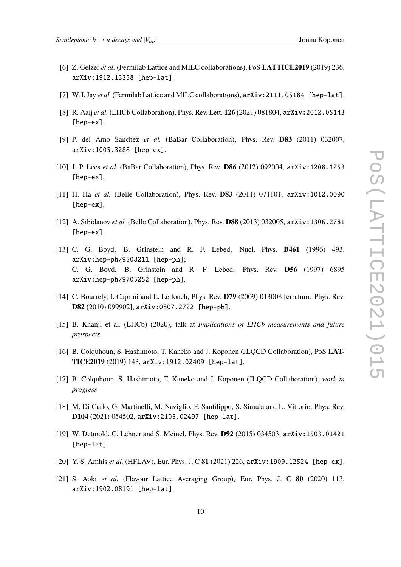- <span id="page-9-10"></span>[6] Z. Gelzer *et al.* (Fermilab Lattice and MILC collaborations), PoS **LATTICE2019** (2019) 236, arXiv:1912.13358 [hep-lat].
- <span id="page-9-11"></span>[7] W. I. Jay *et al.* (Fermilab Lattice and MILC collaborations),  $arXiv:2111.05184$  [hep-lat].
- <span id="page-9-4"></span>[8] R. Aaij *et al.* (LHCb Collaboration), Phys. Rev. Lett. **126** (2021) 081804, arXiv:2012.05143 [hep-ex].
- <span id="page-9-0"></span>[9] P. del Amo Sanchez *et al.* (BaBar Collaboration), Phys. Rev. **D83** (2011) 032007, arXiv:1005.3288 [hep-ex].
- <span id="page-9-1"></span>[10] J. P. Lees *et al.* (BaBar Collaboration), Phys. Rev. **D86** (2012) 092004, arXiv:1208.1253 [hep-ex].
- <span id="page-9-2"></span>[11] H. Ha *et al.* (Belle Collaboration), Phys. Rev. **D83** (2011) 071101, arXiv:1012.0090 [hep-ex].
- <span id="page-9-3"></span>[12] A. Sibidanov *et al.* (Belle Collaboration), Phys. Rev. **D88** (2013) 032005, arXiv:1306.2781 [hep-ex].
- <span id="page-9-6"></span>[13] C. G. Boyd, B. Grinstein and R. F. Lebed, Nucl. Phys. **B461** (1996) 493, arXiv:hep-ph/9508211 [hep-ph]; C. G. Boyd, B. Grinstein and R. F. Lebed, Phys. Rev. **D56** (1997) 6895 arXiv:hep-ph/9705252 [hep-ph].
- <span id="page-9-7"></span>[14] C. Bourrely, I. Caprini and L. Lellouch, Phys. Rev. **D79** (2009) 013008 [erratum: Phys. Rev. **D82** (2010) 099902], arXiv:0807.2722 [hep-ph].
- <span id="page-9-5"></span>[15] B. Khanji et al. (LHCb) (2020), talk at *Implications of LHCb measurements and future prospects*.
- <span id="page-9-8"></span>[16] B. Colquhoun, S. Hashimoto, T. Kaneko and J. Koponen (JLQCD Collaboration), PoS **LAT-TICE2019** (2019) 143, arXiv:1912.02409 [hep-lat].
- <span id="page-9-9"></span>[17] B. Colquhoun, S. Hashimoto, T. Kaneko and J. Koponen (JLQCD Collaboration), *work in progress*
- <span id="page-9-12"></span>[18] M. Di Carlo, G. Martinelli, M. Naviglio, F. Sanfilippo, S. Simula and L. Vittorio, Phys. Rev. **D104** (2021) 054502, arXiv:2105.02497 [hep-lat].
- <span id="page-9-13"></span>[19] W. Detmold, C. Lehner and S. Meinel, Phys. Rev. **D92** (2015) 034503, arXiv:1503.01421 [hep-lat].
- <span id="page-9-15"></span>[20] Y. S. Amhis *et al.* (HFLAV), Eur. Phys. J. C **81** (2021) 226, arXiv:1909.12524 [hep-ex].
- <span id="page-9-14"></span>[21] S. Aoki *et al.* (Flavour Lattice Averaging Group), Eur. Phys. J. C **80** (2020) 113, arXiv:1902.08191 [hep-lat].